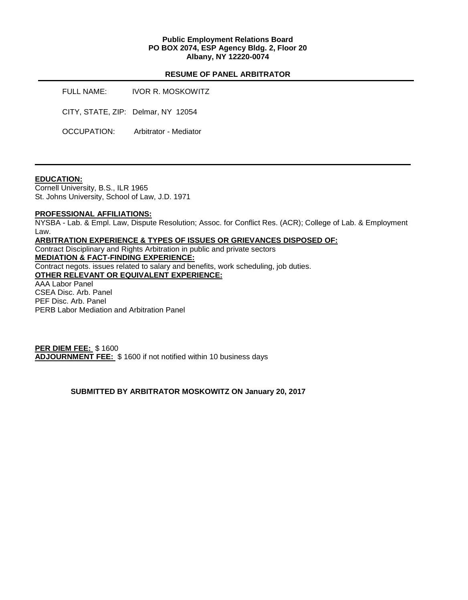#### **Public Employment Relations Board PO BOX 2074, ESP Agency Bldg. 2, Floor 20 Albany, NY 12220-0074**

#### **RESUME OF PANEL ARBITRATOR**

FULL NAME: IVOR R. MOSKOWITZ CITY, STATE, ZIP: Delmar, NY 12054 OCCUPATION: Arbitrator - Mediator

#### **EDUCATION:**

Cornell University, B.S., ILR 1965 St. Johns University, School of Law, J.D. 1971

#### **PROFESSIONAL AFFILIATIONS:**

NYSBA - Lab. & Empl. Law, Dispute Resolution; Assoc. for Conflict Res. (ACR); College of Lab. & Employment Law.

### **ARBITRATION EXPERIENCE & TYPES OF ISSUES OR GRIEVANCES DISPOSED OF:**

Contract Disciplinary and Rights Arbitration in public and private sectors **MEDIATION & FACT-FINDING EXPERIENCE:**  Contract negots. issues related to salary and benefits, work scheduling, job duties. **OTHER RELEVANT OR EQUIVALENT EXPERIENCE:**  AAA Labor Panel CSEA Disc. Arb. Panel

PEF Disc. Arb. Panel PERB Labor Mediation and Arbitration Panel

**PER DIEM FEE:** \$ 1600 **ADJOURNMENT FEE:** \$ 1600 if not notified within 10 business days

#### **SUBMITTED BY ARBITRATOR MOSKOWITZ ON January 20, 2017**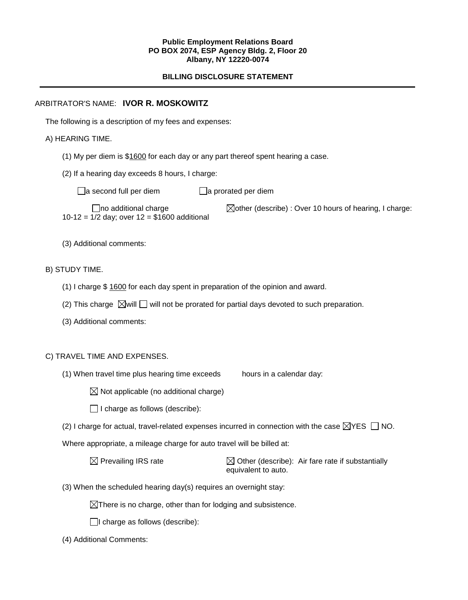#### **Public Employment Relations Board PO BOX 2074, ESP Agency Bldg. 2, Floor 20 Albany, NY 12220-0074**

# **BILLING DISCLOSURE STATEMENT**

### ARBITRATOR'S NAME: **IVOR R. MOSKOWITZ**

The following is a description of my fees and expenses:

### A) HEARING TIME.

- (1) My per diem is \$1600 for each day or any part thereof spent hearing a case.
- (2) If a hearing day exceeds 8 hours, I charge:

 $\Box$ a second full per diem  $\Box$ a prorated per diem

10-12 = 1/2 day; over 12 = \$1600 additional

 $\Box$ no additional charge  $\Box$ other (describe) : Over 10 hours of hearing, I charge:

(3) Additional comments:

### B) STUDY TIME.

- (1) I charge \$ 1600 for each day spent in preparation of the opinion and award.
- (2) This charge  $\boxtimes$  will  $\Box$  will not be prorated for partial days devoted to such preparation.
- (3) Additional comments:

# C) TRAVEL TIME AND EXPENSES.

(1) When travel time plus hearing time exceeds hours in a calendar day:

 $\boxtimes$  Not applicable (no additional charge)

 $\Box$  I charge as follows (describe):

(2) I charge for actual, travel-related expenses incurred in connection with the case  $\boxtimes$ YES  $\Box$  NO.

Where appropriate, a mileage charge for auto travel will be billed at:

 $\boxtimes$  Prevailing IRS rate  $\boxtimes$  Other (describe): Air fare rate if substantially equivalent to auto.

(3) When the scheduled hearing day(s) requires an overnight stay:

 $\boxtimes$ There is no charge, other than for lodging and subsistence.

 $\Box$ I charge as follows (describe):

(4) Additional Comments: